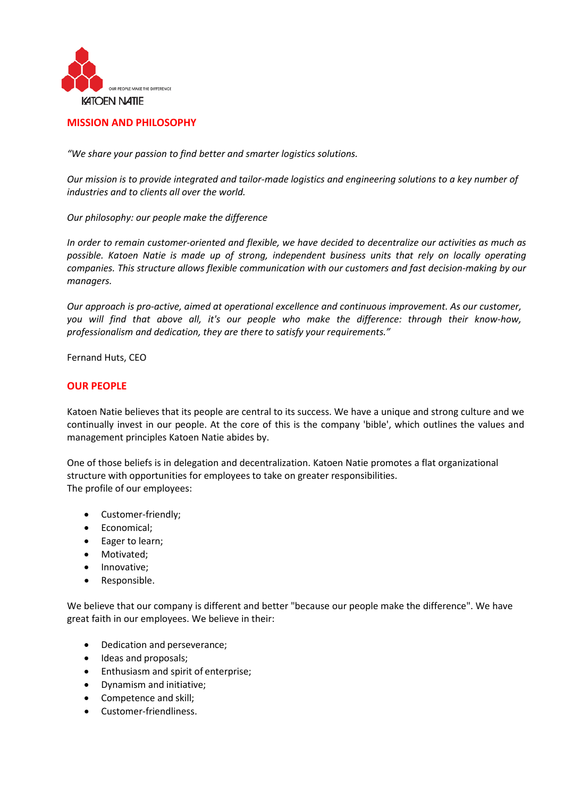

## **MISSION AND PHILOSOPHY**

*"We share your passion to find better and smarter logistics solutions.*

*Our mission is to provide integrated and tailor-made logistics and engineering solutions to a key number of industries and to clients all over the world.*

*Our philosophy: our people make the difference*

*In order to remain customer-oriented and flexible, we have decided to decentralize our activities as much as possible. Katoen Natie is made up of strong, independent business units that rely on locally operating companies. This structure allows flexible communication with our customers and fast decision-making by our managers.*

*Our approach is pro-active, aimed at operational excellence and continuous improvement. As our customer, you will find that above all, it's our people who make the difference: through their know-how, professionalism and dedication, they are there to satisfy your requirements."*

Fernand Huts, CEO

## **OUR PEOPLE**

Katoen Natie believes that its people are central to its success. We have a unique and strong culture and we continually invest in our people. At the core of this is the company 'bible', which outlines the values and management principles Katoen Natie abides by.

One of those beliefs is in delegation and decentralization. Katoen Natie promotes a flat organizational structure with opportunities for employees to take on greater responsibilities. The profile of our employees:

- Customer-friendly;
- Economical;
- Eager to learn;
- Motivated;
- Innovative;
- Responsible.

We believe that our company is different and better "because our people make the difference". We have great faith in our employees. We believe in their:

- Dedication and perseverance;
- Ideas and proposals;
- Enthusiasm and spirit of enterprise;
- Dynamism and initiative;
- Competence and skill;
- Customer-friendliness.